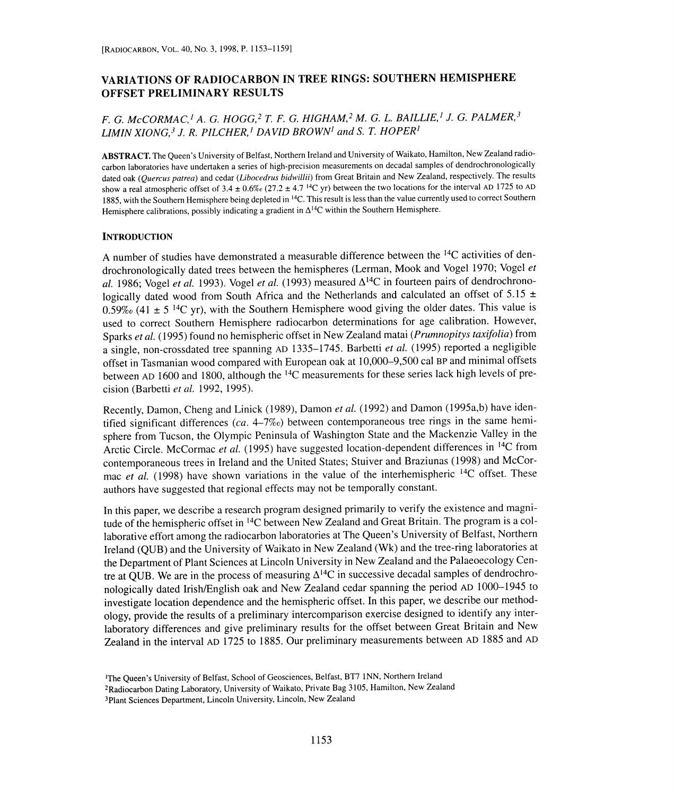# VARIATIONS OF RADIOCARBON IN TREE RINGS: SOUTHERN HEMISPHERE OFFSET PRELIMINARY RESULTS

## F. G. McCORMAC,<sup>1</sup> A. G. HOGG,<sup>2</sup> T. F. G. HIGHAM,<sup>2</sup> M. G. L. BAILLIE,<sup>1</sup> J. G. PALMER,<sup>3</sup> LIMIN XIONG,<sup>3</sup> J. R. PILCHER,<sup>1</sup> DAVID BROWN<sup>1</sup> and S. T. HOPER<sup>1</sup>

ABSTRACT. The Queen's University of Belfast, Northern Ireland and University of Waikato, Hamilton, New Zealand radiocarbon laboratories have undertaken a series of high-precision measurements on decadal samples of dendrochronologically dated oak (Quercus patrea) and cedar (Libocedrus bidwillii) from Great Britain and New Zealand, respectively. The results show a real atmospheric offset of  $3.4 \pm 0.6\%$  (27.2  $\pm$  4.7<sup>14</sup>C yr) between the two locations for the interval AD 1725 to AD 1885, with the Southern Hemisphere being depleted in <sup>14</sup>C. This result is less than the value currently used to correct Southern Hemisphere calibrations, possibly indicating a gradient in  $\Delta^{14}C$  within the Southern Hemisphere.

#### **INTRODUCTION**

A number of studies have demonstrated a measurable difference between the 14C activities of dendrochronologically dated trees between the hemispheres (Lerman, Mook and Vogel 1970; Vogel et al. 1986; Vogel et al. 1993). Vogel et al. (1993) measured  $\Delta^{14}$ C in fourteen pairs of dendrochronologically dated wood from South Africa and the Netherlands and calculated an offset of 5.15  $\pm$ 0.59% (41  $\pm$  5<sup>14</sup>C yr), with the Southern Hemisphere wood giving the older dates. This value is used to correct Southern Hemisphere radiocarbon determinations for age calibration. However, Sparks et al. (1995) found no hemispheric offset in New Zealand matai (Prumnopitys taxifolia) from a single, non-crossdated tree spanning AD 1335-1745. Barbetti et al. (1995) reported a negligible offset in Tasmanian wood compared with European oak at 10,000-9,500 cal BP and minimal offsets between AD 1600 and 1800, although the <sup>14</sup>C measurements for these series lack high levels of precision (Barbetti et al. 1992, 1995).

Recently, Damon, Cheng and Linick (1989), Damon et al. (1992) and Damon (1995a,b) have identified significant differences (ca.  $4-7\%$ ) between contemporaneous tree rings in the same hemisphere from Tucson, the Olympic Peninsula of Washington State and the Mackenzie Valley in the Arctic Circle. McCormac et al. (1995) have suggested location-dependent differences in <sup>14</sup>C from contemporaneous trees in Ireland and the United States; Stuiver and Braziunas (1998) and McCor mac et al. (1998) have shown variations in the value of the interhemispheric <sup>14</sup>C offset. These authors have suggested that regional effects may not be temporally constant.

In this paper, we describe a research program designed primarily to verify the existence and magnitude of the hemispheric offset in 14C between New Zealand and Great Britain. The program is a collaborative effort among the radiocarbon laboratories at The Queen's University of Belfast, Northern Ireland (QUB) and the University of Waikato in New Zealand (Wk) and the tree-ring laboratories at the Department of Plant Sciences at Lincoln University in New Zealand and the Palaeoecology Centre at QUB. We are in the process of measuring  $\Delta^{14}$ C in successive decadal samples of dendrochronologically dated Irish/English oak and New Zealand cedar spanning the period AD 1000-1945 to investigate location dependence and the hemispheric offset. In this paper, we describe our methodology, provide the results of a preliminary intercomparison exercise designed to identify any interlaboratory differences and give preliminary results for the offset between Great Britain and New Zealand in the interval AD 1725 to 1885. Our preliminary measurements between AD 1885 and AD

<sup>&#</sup>x27;The Queen's University of Belfast, School of Geosciences, Belfast, BT7 INN, Northern Ireland 2Radiocarbon Dating Laboratory, University of Waikato, Private Bag 3105, Hamilton, New Zealand 3Plant Sciences Department, Lincoln University, Lincoln, New Zealand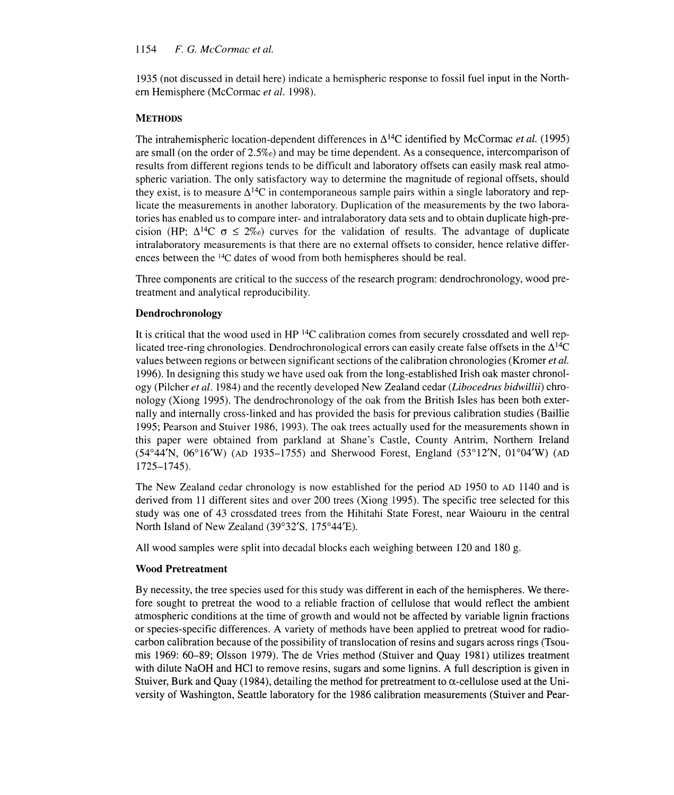1935 (not discussed in detail here) indicate a hemispheric response to fossil fuel input in the North ern Hemisphere (McCormac et al. 1998).

## **METHODS**

The intrahemispheric location-dependent differences in  $\Delta^{14}C$  identified by McCormac *et al.* (1995) are small (on the order of 2.5%o) and may be time dependent. As a consequence, intercomparison of results from different regions tends to be difficult and laboratory offsets can easily mask real atmospheric variation. The only satisfactory way to determine the magnitude of regional offsets, should they exist, is to measure  $\Delta^{14}C$  in contemporaneous sample pairs within a single laboratory and replicate the measurements in another laboratory. Duplication of the measurements by the two laboratories has enabled us to compare inter- and intralaboratory data sets and to obtain duplicate high-precision (HP;  $\Delta^{14}C \sigma \leq 2\%$ ) curves for the validation of results. The advantage of duplicate intralaboratory measurements is that there are no external offsets to consider, hence relative differences between the <sup>14</sup>C dates of wood from both hemispheres should be real.

Three components are critical to the success of the research program: dendrochronology, wood pretreatment and analytical reproducibility.

## Dendrochronology

It is critical that the wood used in  $HP<sup>14</sup>C$  calibration comes from securely crossdated and well replicated tree-ring chronologies. Dendrochronological errors can easily create false offsets in the  $\Delta^{14}C$ values between regions or between significant sections of the calibration chronologies (Kromer et al. 1996). In designing this study we have used oak from the long-established Irish oak master chronology (Pilcher et al. 1984) and the recently developed New Zealand cedar (Libocedrus bidwillii) chronology (Xiong 1995). The dendrochronology of the oak from the British Isles has been both externally and internally cross-linked and has provided the basis for previous calibration studies (Baillie 1995; Pearson and Stuiver 1986, 1993). The oak trees actually used for the measurements shown in this paper were obtained from parkland at Shane's Castle, County Antrim, Northern Ireland (54°44'N, 06°16'W) (AD 1935-1755) and Sherwood Forest, England (53°12'N, O1°04'W) (AD 1725-1745).

The New Zealand cedar chronology is now established for the period AD 1950 to AD 1140 and is derived from 11 different sites and over 200 trees (Xiong 1995). The specific tree selected for this study was one of 43 crossdated trees from the Hihitahi State Forest, near Waiouru in the central North Island of New Zealand (39°32'S, 175°44'E).

All wood samples were split into decadal blocks each weighing between 120 and 180 g.

## Wood Pretreatment

By necessity, the tree species used for this study was different in each of the hemispheres. We therefore sought to pretreat the wood to a reliable fraction of cellulose that would reflect the ambient atmospheric conditions at the time of growth and would not be affected by variable lignin fractions or species-specific differences. A variety of methods have been applied to pretreat wood for radiocarbon calibration because of the possibility of translocation of resins and sugars across rings (Tsoumis 1969: 60-89; Olsson 1979). The de Vries method (Stuiver and Quay 1981) utilizes treatment with dilute NaOH and HCl to remove resins, sugars and some lignins. A full description is given in Stuiver, Burk and Quay (1984), detailing the method for pretreatment to  $\alpha$ -cellulose used at the University of Washington, Seattle laboratory for the 1986 calibration measurements (Stuiver and Pear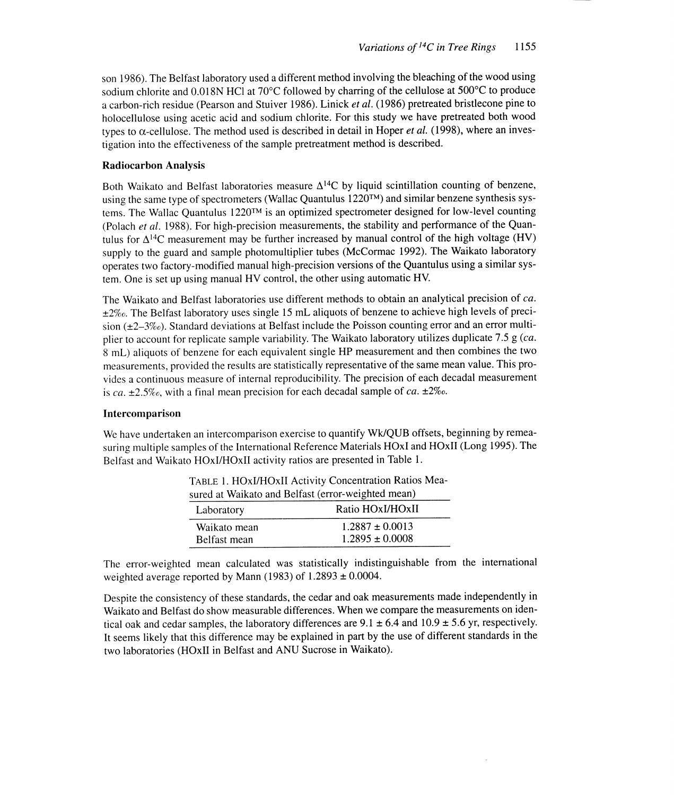son 1986). The Belfast laboratory used a different method involving the bleaching of the wood using sodium chlorite and 0.018N HC1 at 70°C followed by charring of the cellulose at 500°C to produce a carbon-rich residue (Pearson and Stuiver 1986). Linick et al. (1986) pretreated bristlecone pine to holocellulose using acetic acid and sodium chlorite. For this study we have pretreated both wood types to  $\alpha$ -cellulose. The method used is described in detail in Hoper *et al.* (1998), where an investigation into the effectiveness of the sample pretreatment method is described.

#### Radiocarbon Analysis

Both Waikato and Belfast laboratories measure  $\Delta^{14}C$  by liquid scintillation counting of benzene, using the same type of spectrometers (Wallac Quantulus 1220TM) and similar benzene synthesis systems. The Wallac Quantulus 1220TM is an optimized spectrometer designed for low-level counting (Polach *et al.* 1988). For high-precision measurements, the stability and performance of the Quantulus for  $\Delta^{14}$ C measurement may be further increased by manual control of the high voltage (HV) supply to the guard and sample photomultiplier tubes (McCormac 1992). The Waikato laboratory operates two factory-modified manual high-precision versions of the Quantulus using a similar system. One is set up using manual HV control, the other using automatic HV.

The Waikato and Belfast laboratories use different methods to obtain an analytical precision of ca.  $\pm 2\%$ . The Belfast laboratory uses single 15 mL aliquots of benzene to achieve high levels of precision (±2-3%o). Standard deviations at Belfast include the Poisson counting error and an error multiplier to account for replicate sample variability. The Waikato laboratory utilizes duplicate 7.5 g (ca. <sup>8</sup>mL) aliquots of benzene for each equivalent single HP measurement and then combines the two measurements, provided the results are statistically representative of the same mean value. This provides a continuous measure of internal reproducibility. The precision of each decadal measurement is ca.  $\pm 2.5\%$ , with a final mean precision for each decadal sample of ca.  $\pm 2\%$ .

#### Intercomparison

We have undertaken an intercomparison exercise to quantify Wk/QUB offsets, beginning by remeasuring multiple samples of the International Reference Materials HOxI and HOxII (Long 1995). The Belfast and Waikato HOxI/HOxII activity ratios are presented in Table 1.

| sured at Waikato and Belfast (error-weighted mean) |                     |
|----------------------------------------------------|---------------------|
| Laboratory                                         | Ratio HOxI/HOxII    |
| Waikato mean                                       | $1.2887 \pm 0.0013$ |
| Belfast mean                                       | $1.2895 \pm 0.0008$ |

TABLE 1. HOxI/HOxII Activity Concentration Ratios Mea-

The error-weighted mean calculated was statistically indistinguishable from the international weighted average reported by Mann (1983) of  $1.2893 \pm 0.0004$ .

Despite the consistency of these standards, the cedar and oak measurements made independently in Waikato and Belfast do show measurable differences. When we compare the measurements on identical oak and cedar samples, the laboratory differences are  $9.1 \pm 6.4$  and  $10.9 \pm 5.6$  yr, respectively. It seems likely that this difference may be explained in part by the use of different standards in the two laboratories (HOxII in Belfast and ANU Sucrose in Waikato).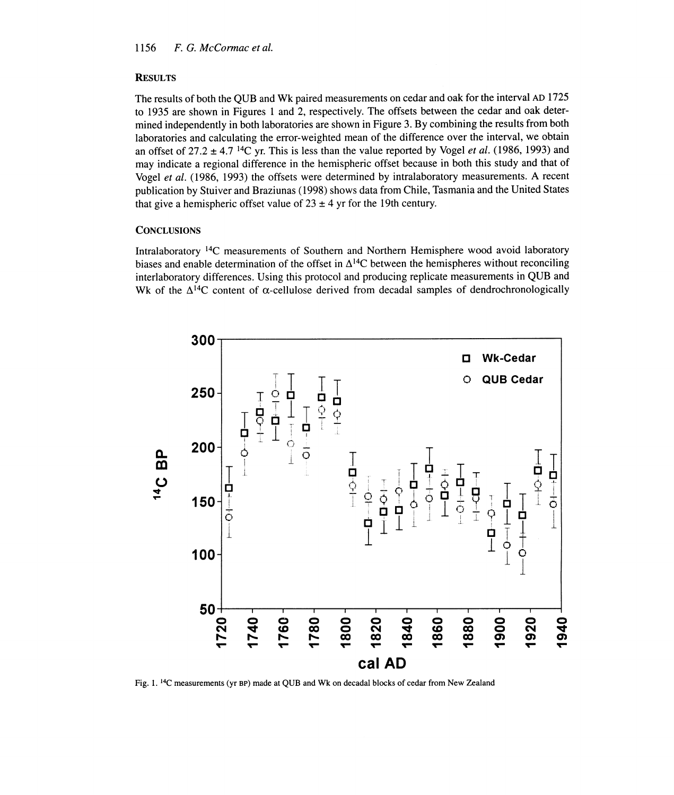### **RESULTS**

The results of both the QUB and Wk paired measurements on cedar and oak for the interval AD 1725 to 1935 are shown in Figures 1 and 2, respectively. The offsets between the cedar and oak determined independently in both laboratories are shown in Figure 3. By combining the results from both laboratories and calculating the error-weighted mean of the difference over the interval, we obtain an offset of 27.2  $\pm$  4.7<sup>14</sup>C yr. This is less than the value reported by Vogel *et al.* (1986, 1993) and may indicate a regional difference in the hemispheric offset because in both this study and that of Vogel et al. (1986, 1993) the offsets were determined by intralaboratory measurements. A recent publication by Stuiver and Braziunas (1998) shows data from Chile, Tasmania and the United States that give a hemispheric offset value of  $23 \pm 4$  yr for the 19th century.

#### **CONCLUSIONS**

Intralaboratory 14C measurements of Southern and Northern Hemisphere wood avoid laboratory biases and enable determination of the offset in  $\Delta^{14}$ C between the hemispheres without reconciling interlaboratory differences. Using this protocol and producing replicate measurements in QUB and Wk of the  $\Delta^{14}C$  content of  $\alpha$ -cellulose derived from decadal samples of dendrochronologically



Fig. 1.14C measurements (yr BP) made at QUB and Wk on decadal blocks of cedar from New Zealand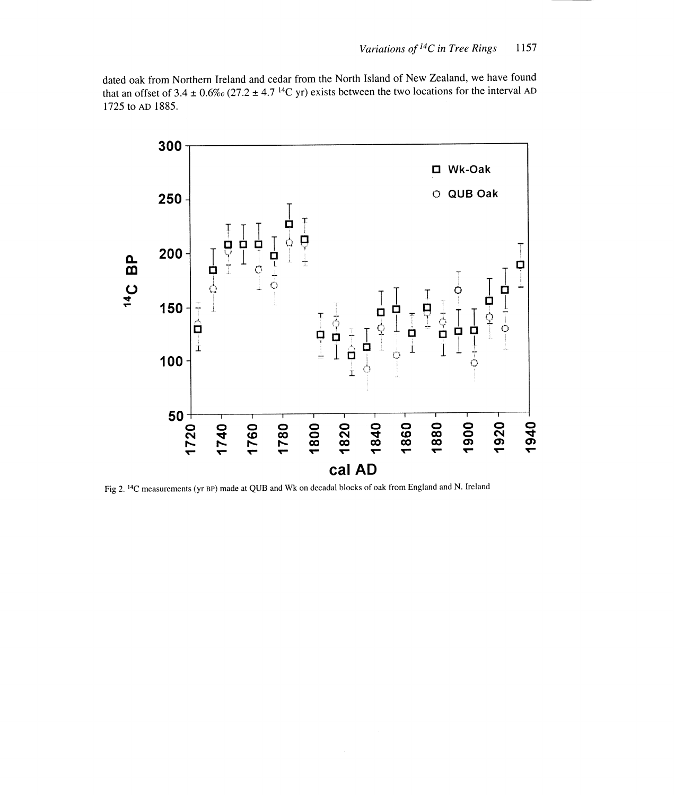dated oak from Northern Ireland and cedar from the North Island of New Zealand, we have found that an offset of 3.4  $\pm$  0.6‰ (27.2  $\pm$  4.7<sup>14</sup>C yr) exists between the two locations for the interval AD 1725 to AD 1885.



Fig 2.14C measurements (yr BP) made at QUB and Wk on decadal blocks of oak from England and N. Ireland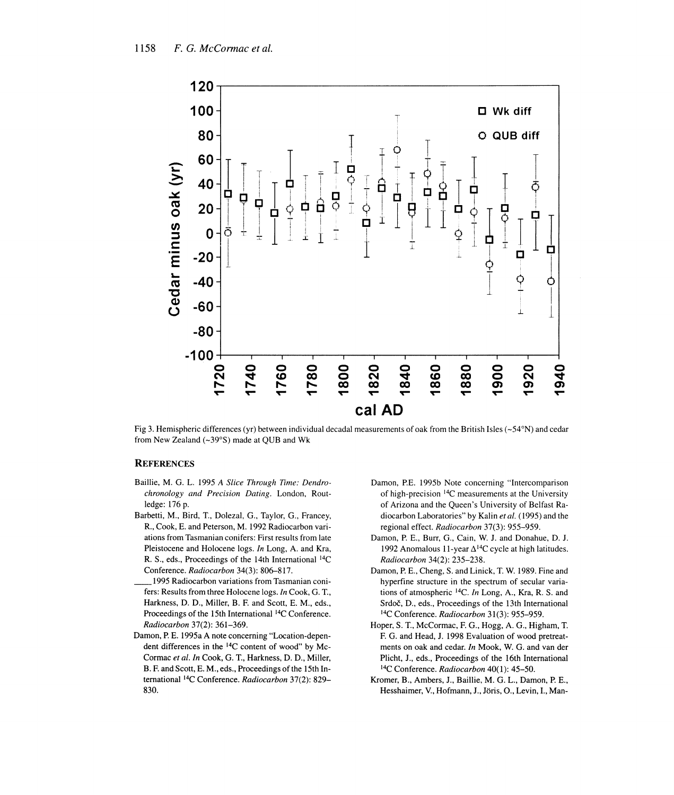

Fig 3. Hemispheric differences (yr) between individual decadal measurements of oak from the British Isles ( $\sim$ 54°N) and cedar from New Zealand (~39°S) made at QUB and Wk

#### **REFERENCES**

- Baillie, M. G. L. 1995 A Slice Through Time: Dendrochronology and Precision Dating. London, Routledge: 176 p.
- Barbetti, M., Bird, T., Dolezal, G., Taylor, G., Francey, R., Cook, E. and Peterson, M. 1992 Radiocarbon variations from Tasmanian conifers: First results from late Pleistocene and Holocene logs. In Long, A. and Kra, R. S., eds., Proceedings of the 14th International 14C Conference. Radiocarbon 34(3): 806-817.
- 1995 Radiocarbon variations from Tasmanian conifers: Results from three Holocene logs. In Cook, G. T., Harkness, D. D., Miller, B. F. and Scott, E. M., eds., Proceedings of the 15th International 14C Conference. Radiocarbon 37(2): 361-369.
- Damon, P. E. 1995a A note concerning "Location-dependent differences in the 14C content of wood" by Mc-Cormac et al. In Cook, G. T., Harkness, D. D., Miller, B. F. and Scott, E. M., eds., Proceedings of the 15th International 14C Conference. Radiocarbon 37(2): 829- 830.
- Damon, P.E. 1995b Note concerning "Intercomparison of high-precision 14C measurements at the University of Arizona and the Queen's University of Belfast Radiocarbon Laboratories" by Kalin et al. (1995) and the regional effect. Radiocarbon 37(3): 955-959.
- Damon, P. E., Burr, G., Cain, W. J. and Donahue, D. J. 1992 Anomalous 11-year  $\Delta^{14}$ C cycle at high latitudes. Radiocarbon 34(2): 235-238.
- Damon, P. E., Cheng, S. and Linick, T. W. 1989. Fine and hyperfine structure in the spectrum of secular variations of atmospheric 14C. In Long, A., Kra, R. S. and Srdoč, D., eds., Proceedings of the 13th International 14C Conference. Radiocarbon 31(3): 955-959.
- Hoper, S. T., McCormac, F. G., Hogg, A. G., Higham, T. F. G. and Head, J. 1998 Evaluation of wood pretreatments on oak and cedar. In Mook, W. G. and van der Plicht, J., eds., Proceedings of the 16th International <sup>14</sup>C Conference. Radiocarbon 40(1): 45-50.
- Kromer, B., Ambers, J., Baillie, M. G. L., Damon, P. E., Hesshaimer, V., Hofmann, J., Joris, 0., Levin, I., Man-